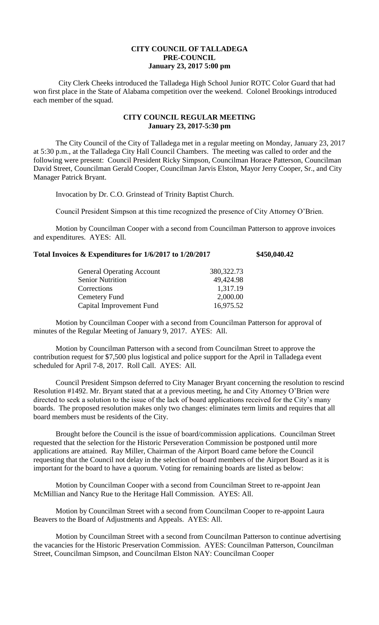## **CITY COUNCIL OF TALLADEGA PRE-COUNCIL January 23, 2017 5:00 pm**

City Clerk Cheeks introduced the Talladega High School Junior ROTC Color Guard that had won first place in the State of Alabama competition over the weekend. Colonel Brookings introduced each member of the squad.

## **CITY COUNCIL REGULAR MEETING January 23, 2017-5:30 pm**

The City Council of the City of Talladega met in a regular meeting on Monday, January 23, 2017 at 5:30 p.m., at the Talladega City Hall Council Chambers. The meeting was called to order and the following were present: Council President Ricky Simpson, Councilman Horace Patterson, Councilman David Street, Councilman Gerald Cooper, Councilman Jarvis Elston, Mayor Jerry Cooper, Sr., and City Manager Patrick Bryant.

Invocation by Dr. C.O. Grinstead of Trinity Baptist Church.

Council President Simpson at this time recognized the presence of City Attorney O'Brien.

Motion by Councilman Cooper with a second from Councilman Patterson to approve invoices and expenditures. AYES: All.

## **Total Invoices & Expenditures for 1/6/2017 to 1/20/2017 \$450,040.42**

| <b>General Operating Account</b> | 380, 322. 73 |
|----------------------------------|--------------|
| <b>Senior Nutrition</b>          | 49,424.98    |
| Corrections                      | 1,317.19     |
| Cemetery Fund                    | 2,000.00     |
| Capital Improvement Fund         | 16,975.52    |

Motion by Councilman Cooper with a second from Councilman Patterson for approval of minutes of the Regular Meeting of January 9, 2017. AYES: All.

Motion by Councilman Patterson with a second from Councilman Street to approve the contribution request for \$7,500 plus logistical and police support for the April in Talladega event scheduled for April 7-8, 2017. Roll Call. AYES: All.

Council President Simpson deferred to City Manager Bryant concerning the resolution to rescind Resolution #1492. Mr. Bryant stated that at a previous meeting, he and City Attorney O'Brien were directed to seek a solution to the issue of the lack of board applications received for the City's many boards. The proposed resolution makes only two changes: eliminates term limits and requires that all board members must be residents of the City.

Brought before the Council is the issue of board/commission applications. Councilman Street requested that the selection for the Historic Perseveration Commission be postponed until more applications are attained. Ray Miller, Chairman of the Airport Board came before the Council requesting that the Council not delay in the selection of board members of the Airport Board as it is important for the board to have a quorum. Voting for remaining boards are listed as below:

Motion by Councilman Cooper with a second from Councilman Street to re-appoint Jean McMillian and Nancy Rue to the Heritage Hall Commission. AYES: All.

Motion by Councilman Street with a second from Councilman Cooper to re-appoint Laura Beavers to the Board of Adjustments and Appeals. AYES: All.

Motion by Councilman Street with a second from Councilman Patterson to continue advertising the vacancies for the Historic Preservation Commission. AYES: Councilman Patterson, Councilman Street, Councilman Simpson, and Councilman Elston NAY: Councilman Cooper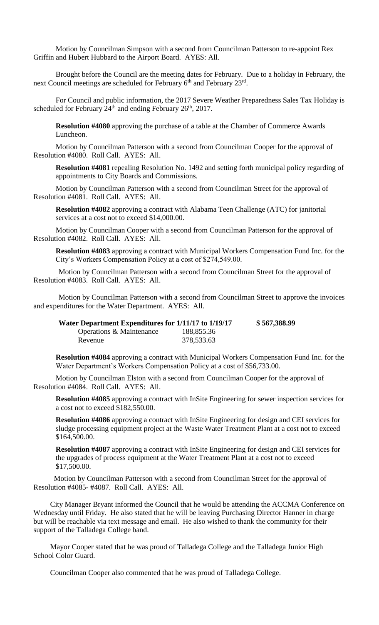Motion by Councilman Simpson with a second from Councilman Patterson to re-appoint Rex Griffin and Hubert Hubbard to the Airport Board. AYES: All.

Brought before the Council are the meeting dates for February. Due to a holiday in February, the next Council meetings are scheduled for February 6<sup>th</sup> and February 23<sup>rd</sup>.

For Council and public information, the 2017 Severe Weather Preparedness Sales Tax Holiday is scheduled for February  $24<sup>th</sup>$  and ending February  $26<sup>th</sup>$ , 2017.

**Resolution #4080** approving the purchase of a table at the Chamber of Commerce Awards Luncheon.

Motion by Councilman Patterson with a second from Councilman Cooper for the approval of Resolution #4080. Roll Call. AYES: All.

**Resolution #4081** repealing Resolution No. 1492 and setting forth municipal policy regarding of appointments to City Boards and Commissions.

Motion by Councilman Patterson with a second from Councilman Street for the approval of Resolution #4081. Roll Call. AYES: All.

**Resolution #4082** approving a contract with Alabama Teen Challenge (ATC) for janitorial services at a cost not to exceed \$14,000.00.

Motion by Councilman Cooper with a second from Councilman Patterson for the approval of Resolution #4082. Roll Call. AYES: All.

**Resolution #4083** approving a contract with Municipal Workers Compensation Fund Inc. for the City's Workers Compensation Policy at a cost of \$274,549.00.

Motion by Councilman Patterson with a second from Councilman Street for the approval of Resolution #4083. Roll Call. AYES: All.

Motion by Councilman Patterson with a second from Councilman Street to approve the invoices and expenditures for the Water Department. AYES: All.

| Water Department Expenditures for 1/11/17 to 1/19/17 |            | \$567,388.99 |
|------------------------------------------------------|------------|--------------|
| Operations & Maintenance                             | 188,855.36 |              |
| Revenue                                              | 378,533.63 |              |

**Resolution #4084** approving a contract with Municipal Workers Compensation Fund Inc. for the Water Department's Workers Compensation Policy at a cost of \$56,733.00.

Motion by Councilman Elston with a second from Councilman Cooper for the approval of Resolution #4084. Roll Call. AYES: All.

**Resolution #4085** approving a contract with InSite Engineering for sewer inspection services for a cost not to exceed \$182,550.00.

**Resolution #4086** approving a contract with InSite Engineering for design and CEI services for sludge processing equipment project at the Waste Water Treatment Plant at a cost not to exceed \$164,500.00.

**Resolution #4087** approving a contract with InSite Engineering for design and CEI services for the upgrades of process equipment at the Water Treatment Plant at a cost not to exceed \$17,500.00.

 Motion by Councilman Patterson with a second from Councilman Street for the approval of Resolution #4085- #4087. Roll Call. AYES: All.

City Manager Bryant informed the Council that he would be attending the ACCMA Conference on Wednesday until Friday. He also stated that he will be leaving Purchasing Director Hanner in charge but will be reachable via text message and email. He also wished to thank the community for their support of the Talladega College band.

Mayor Cooper stated that he was proud of Talladega College and the Talladega Junior High School Color Guard.

Councilman Cooper also commented that he was proud of Talladega College.